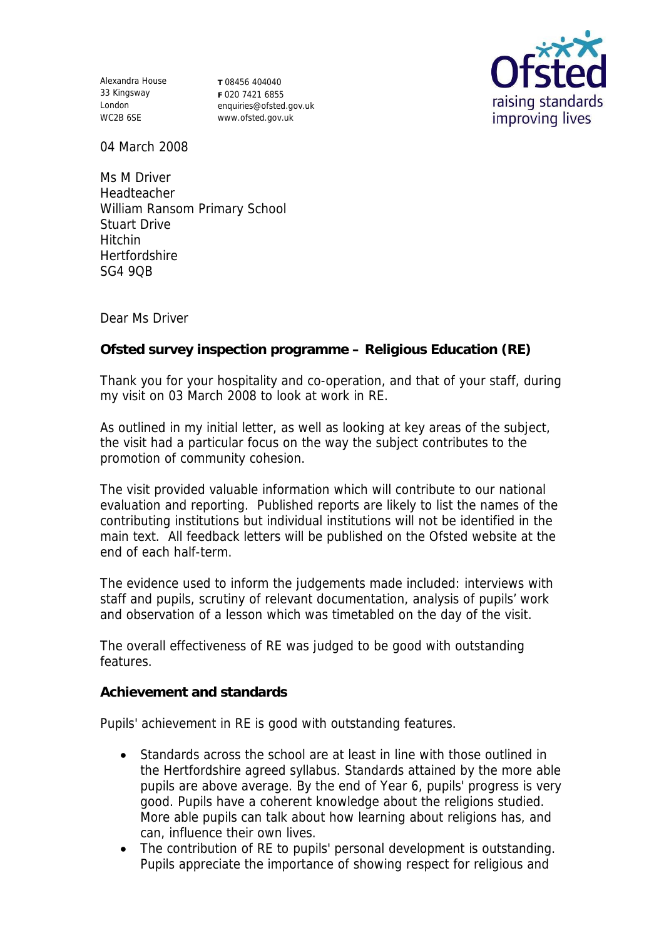Alexandra House 33 Kingsway London WC2B 6SE

**T** 08456 404040 **F** 020 7421 6855 enquiries@ofsted.gov.uk www.ofsted.gov.uk



04 March 2008

Ms M Driver Headteacher William Ransom Primary School Stuart Drive Hitchin **Hertfordshire** SG4 9QB

Dear Ms Driver

**Ofsted survey inspection programme – Religious Education (RE)**

Thank you for your hospitality and co-operation, and that of your staff, during my visit on 03 March 2008 to look at work in RE.

As outlined in my initial letter, as well as looking at key areas of the subject, the visit had a particular focus on the way the subject contributes to the promotion of community cohesion.

The visit provided valuable information which will contribute to our national evaluation and reporting. Published reports are likely to list the names of the contributing institutions but individual institutions will not be identified in the main text. All feedback letters will be published on the Ofsted website at the end of each half-term.

The evidence used to inform the judgements made included: interviews with staff and pupils, scrutiny of relevant documentation, analysis of pupils' work and observation of a lesson which was timetabled on the day of the visit.

The overall effectiveness of RE was judged to be good with outstanding features.

**Achievement and standards**

Pupils' achievement in RE is good with outstanding features.

- Standards across the school are at least in line with those outlined in the Hertfordshire agreed syllabus. Standards attained by the more able pupils are above average. By the end of Year 6, pupils' progress is very good. Pupils have a coherent knowledge about the religions studied. More able pupils can talk about how learning about religions has, and can, influence their own lives.
- The contribution of RE to pupils' personal development is outstanding. Pupils appreciate the importance of showing respect for religious and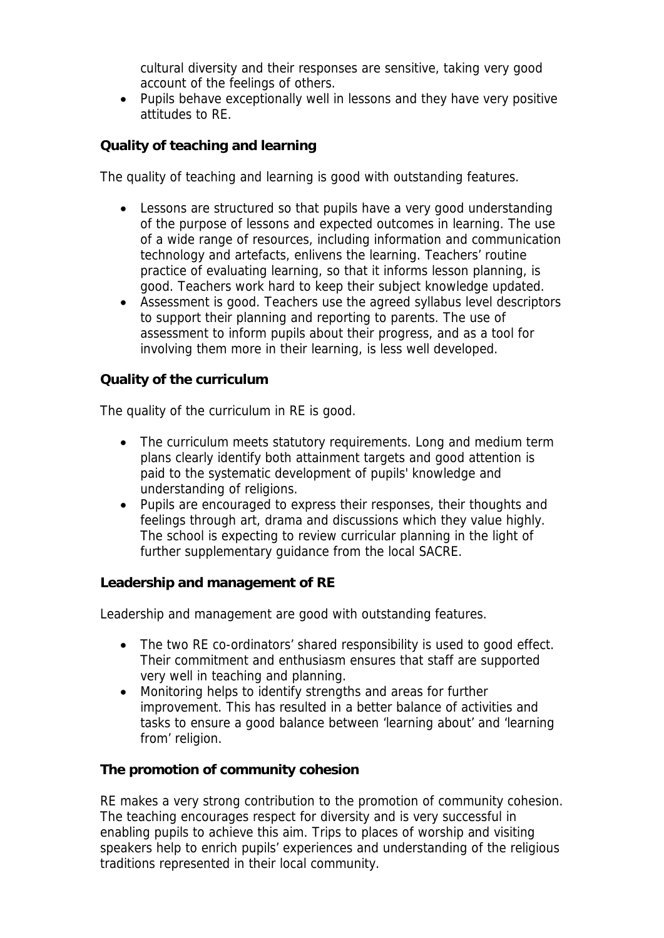cultural diversity and their responses are sensitive, taking very good account of the feelings of others.

 Pupils behave exceptionally well in lessons and they have very positive attitudes to RE.

**Quality of teaching and learning** 

The quality of teaching and learning is good with outstanding features.

- Lessons are structured so that pupils have a very good understanding of the purpose of lessons and expected outcomes in learning. The use of a wide range of resources, including information and communication technology and artefacts, enlivens the learning. Teachers' routine practice of evaluating learning, so that it informs lesson planning, is good. Teachers work hard to keep their subject knowledge updated.
- Assessment is good. Teachers use the agreed syllabus level descriptors to support their planning and reporting to parents. The use of assessment to inform pupils about their progress, and as a tool for involving them more in their learning, is less well developed.

**Quality of the curriculum** 

The quality of the curriculum in RE is good.

- The curriculum meets statutory requirements. Long and medium term plans clearly identify both attainment targets and good attention is paid to the systematic development of pupils' knowledge and understanding of religions.
- Pupils are encouraged to express their responses, their thoughts and feelings through art, drama and discussions which they value highly. The school is expecting to review curricular planning in the light of further supplementary guidance from the local SACRE.

**Leadership and management of RE**

Leadership and management are good with outstanding features.

- The two RE co-ordinators' shared responsibility is used to good effect. Their commitment and enthusiasm ensures that staff are supported very well in teaching and planning.
- Monitoring helps to identify strengths and areas for further improvement. This has resulted in a better balance of activities and tasks to ensure a good balance between 'learning about' and 'learning from' religion.

**The promotion of community cohesion**

RE makes a very strong contribution to the promotion of community cohesion. The teaching encourages respect for diversity and is very successful in enabling pupils to achieve this aim. Trips to places of worship and visiting speakers help to enrich pupils' experiences and understanding of the religious traditions represented in their local community.